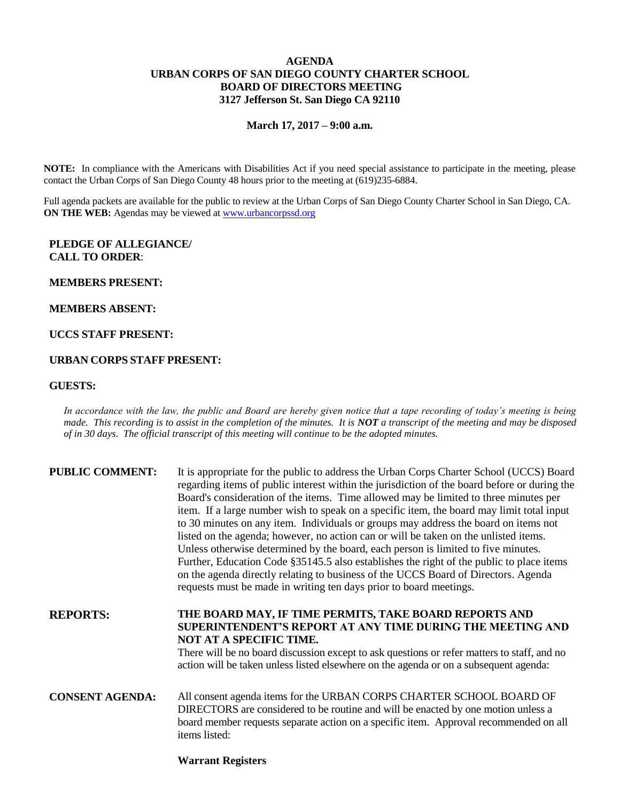# **AGENDA URBAN CORPS OF SAN DIEGO COUNTY CHARTER SCHOOL BOARD OF DIRECTORS MEETING 3127 Jefferson St. San Diego CA 92110**

**March 17, 2017 – 9:00 a.m.**

**NOTE:** In compliance with the Americans with Disabilities Act if you need special assistance to participate in the meeting, please contact the Urban Corps of San Diego County 48 hours prior to the meeting at (619)235-6884.

Full agenda packets are available for the public to review at the Urban Corps of San Diego County Charter School in San Diego, CA. **ON THE WEB:** Agendas may be viewed at [www.urbancorpssd.org](http://www.urbancorpssd.org/)

# **PLEDGE OF ALLEGIANCE/ CALL TO ORDER**:

## **MEMBERS PRESENT:**

## **MEMBERS ABSENT:**

# **UCCS STAFF PRESENT:**

# **URBAN CORPS STAFF PRESENT:**

## **GUESTS:**

*In accordance with the law, the public and Board are hereby given notice that a tape recording of today's meeting is being made. This recording is to assist in the completion of the minutes. It is NOT a transcript of the meeting and may be disposed of in 30 days. The official transcript of this meeting will continue to be the adopted minutes.*

| <b>PUBLIC COMMENT:</b> | It is appropriate for the public to address the Urban Corps Charter School (UCCS) Board<br>regarding items of public interest within the jurisdiction of the board before or during the<br>Board's consideration of the items. Time allowed may be limited to three minutes per<br>item. If a large number wish to speak on a specific item, the board may limit total input<br>to 30 minutes on any item. Individuals or groups may address the board on items not<br>listed on the agenda; however, no action can or will be taken on the unlisted items.<br>Unless otherwise determined by the board, each person is limited to five minutes.<br>Further, Education Code §35145.5 also establishes the right of the public to place items<br>on the agenda directly relating to business of the UCCS Board of Directors. Agenda<br>requests must be made in writing ten days prior to board meetings. |
|------------------------|----------------------------------------------------------------------------------------------------------------------------------------------------------------------------------------------------------------------------------------------------------------------------------------------------------------------------------------------------------------------------------------------------------------------------------------------------------------------------------------------------------------------------------------------------------------------------------------------------------------------------------------------------------------------------------------------------------------------------------------------------------------------------------------------------------------------------------------------------------------------------------------------------------|
| <b>REPORTS:</b>        | THE BOARD MAY, IF TIME PERMITS, TAKE BOARD REPORTS AND<br>SUPERINTENDENT'S REPORT AT ANY TIME DURING THE MEETING AND<br>NOT AT A SPECIFIC TIME.<br>There will be no board discussion except to ask questions or refer matters to staff, and no<br>action will be taken unless listed elsewhere on the agenda or on a subsequent agenda:                                                                                                                                                                                                                                                                                                                                                                                                                                                                                                                                                                  |
| <b>CONSENT AGENDA:</b> | All consent agenda items for the URBAN CORPS CHARTER SCHOOL BOARD OF<br>DIRECTORS are considered to be routine and will be enacted by one motion unless a<br>board member requests separate action on a specific item. Approval recommended on all<br>items listed:                                                                                                                                                                                                                                                                                                                                                                                                                                                                                                                                                                                                                                      |

## **Warrant Registers**